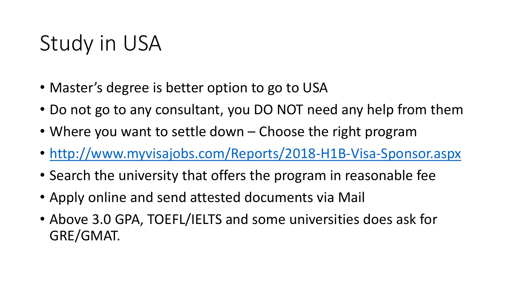# Study in USA

- Master's degree is better option to go to USA
- Do not go to any consultant, you DO NOT need any help from them
- Where you want to settle down Choose the right program
- <http://www.myvisajobs.com/Reports/2018-H1B-Visa-Sponsor.aspx>
- Search the university that offers the program in reasonable fee
- Apply online and send attested documents via Mail
- Above 3.0 GPA, TOEFL/IELTS and some universities does ask for GRE/GMAT.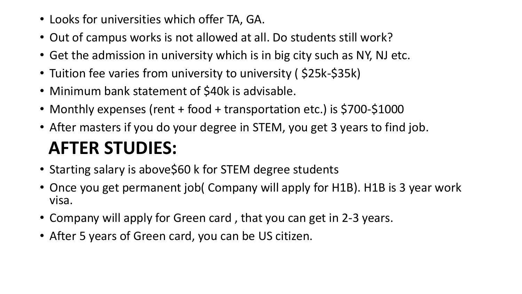- Looks for universities which offer TA, GA.
- Out of campus works is not allowed at all. Do students still work?
- Get the admission in university which is in big city such as NY, NJ etc.
- Tuition fee varies from university to university ( \$25k-\$35k)
- Minimum bank statement of \$40k is advisable.
- Monthly expenses (rent + food + transportation etc.) is \$700-\$1000
- After masters if you do your degree in STEM, you get 3 years to find job. **AFTER STUDIES:**
- Starting salary is above\$60 k for STEM degree students
- Once you get permanent job( Company will apply for H1B). H1B is 3 year work visa.
- Company will apply for Green card , that you can get in 2-3 years.
- After 5 years of Green card, you can be US citizen.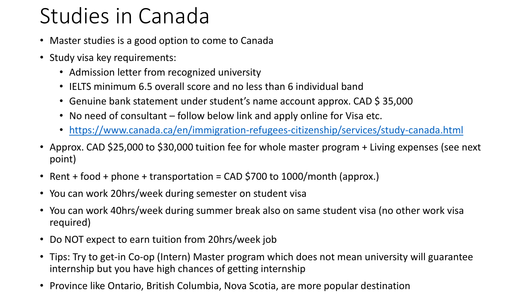# Studies in Canada

- Master studies is a good option to come to Canada
- Study visa key requirements:
	- Admission letter from recognized university
	- IELTS minimum 6.5 overall score and no less than 6 individual band
	- Genuine bank statement under student's name account approx. CAD \$ 35,000
	- No need of consultant follow below link and apply online for Visa etc.
	- <https://www.canada.ca/en/immigration-refugees-citizenship/services/study-canada.html>
- Approx. CAD \$25,000 to \$30,000 tuition fee for whole master program + Living expenses (see next point)
- Rent + food + phone + transportation = CAD \$700 to 1000/month (approx.)
- You can work 20hrs/week during semester on student visa
- You can work 40hrs/week during summer break also on same student visa (no other work visa required)
- Do NOT expect to earn tuition from 20hrs/week job
- Tips: Try to get-in Co-op (Intern) Master program which does not mean university will guarantee internship but you have high chances of getting internship
- Province like Ontario, British Columbia, Nova Scotia, are more popular destination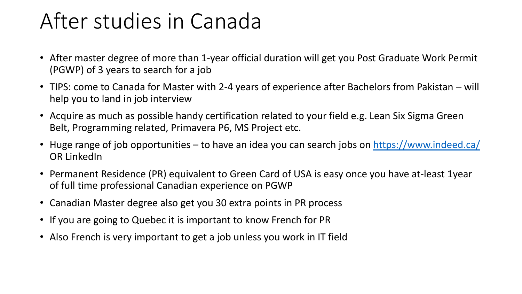### After studies in Canada

- After master degree of more than 1-year official duration will get you Post Graduate Work Permit (PGWP) of 3 years to search for a job
- TIPS: come to Canada for Master with 2-4 years of experience after Bachelors from Pakistan will help you to land in job interview
- Acquire as much as possible handy certification related to your field e.g. Lean Six Sigma Green Belt, Programming related, Primavera P6, MS Project etc.
- Huge range of job opportunities to have an idea you can search jobs on<https://www.indeed.ca/> OR LinkedIn
- Permanent Residence (PR) equivalent to Green Card of USA is easy once you have at-least 1year of full time professional Canadian experience on PGWP
- Canadian Master degree also get you 30 extra points in PR process
- If you are going to Quebec it is important to know French for PR
- Also French is very important to get a job unless you work in IT field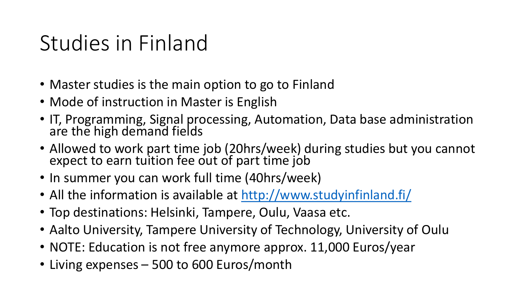### Studies in Finland

- Master studies is the main option to go to Finland
- Mode of instruction in Master is English
- IT, Programming, Signal processing, Automation, Data base administration are the high demand fields
- Allowed to work part time job (20hrs/week) during studies but you cannot expect to earn tuition fee out of part time job
- In summer you can work full time (40hrs/week)
- All the information is available at <http://www.studyinfinland.fi/>
- Top destinations: Helsinki, Tampere, Oulu, Vaasa etc.
- Aalto University, Tampere University of Technology, University of Oulu
- NOTE: Education is not free anymore approx. 11,000 Euros/year
- Living expenses 500 to 600 Euros/month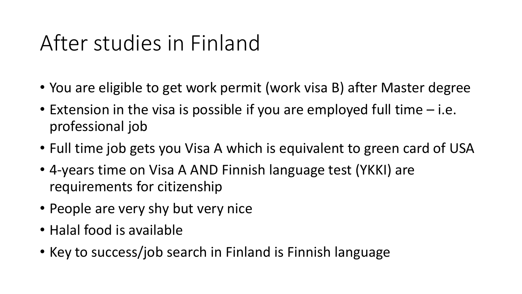## After studies in Finland

- You are eligible to get work permit (work visa B) after Master degree
- Extension in the visa is possible if you are employed full time i.e. professional job
- Full time job gets you Visa A which is equivalent to green card of USA
- 4-years time on Visa A AND Finnish language test (YKKI) are requirements for citizenship
- People are very shy but very nice
- Halal food is available
- Key to success/job search in Finland is Finnish language